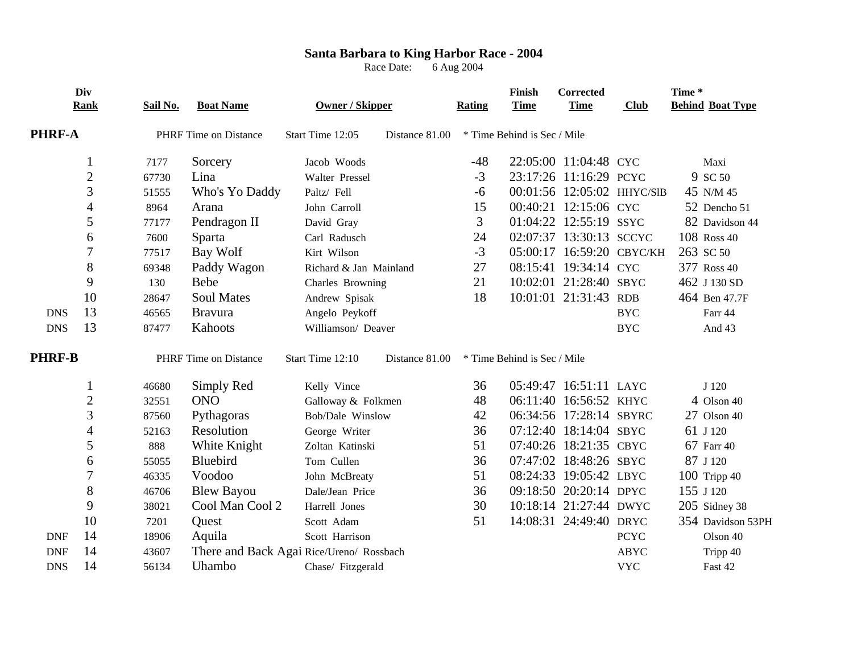## **Santa Barbara to King Harbor Race - 2004**

Race Date: 6 Aug 2004

|               | Div<br>Rank              | Sail No. | <b>Boat Name</b>             | Owner / Skipper                          |                | <b>Rating</b>               | Finish<br><b>Time</b>       | Corrected<br><b>Time</b>  | <b>Club</b>                | Time* | <b>Behind Boat Type</b> |
|---------------|--------------------------|----------|------------------------------|------------------------------------------|----------------|-----------------------------|-----------------------------|---------------------------|----------------------------|-------|-------------------------|
| <b>PHRF-A</b> |                          |          | <b>PHRF</b> Time on Distance | Start Time 12:05<br>Distance 81.00       |                | * Time Behind is Sec / Mile |                             |                           |                            |       |                         |
|               | 1                        | 7177     | Sorcery                      | Jacob Woods                              |                | $-48$                       |                             | 22:05:00 11:04:48 CYC     |                            |       | Maxi                    |
|               | $\sqrt{2}$               | 67730    | Lina                         | Walter Pressel                           |                | $-3$                        |                             | 23:17:26 11:16:29 PCYC    |                            |       | 9 SC 50                 |
|               | 3                        | 51555    | Who's Yo Daddy               | Paltz/ Fell                              |                | $-6$                        |                             |                           | 00:01:56 12:05:02 HHYC/SIB |       | 45 N/M 45               |
|               | $\overline{\mathcal{A}}$ | 8964     | Arana                        | John Carroll                             |                | 15                          |                             | 00:40:21 12:15:06 CYC     |                            |       | 52 Dencho 51            |
|               | 5                        | 77177    | Pendragon II                 | David Gray                               |                | 3                           |                             | 01:04:22 12:55:19 SSYC    |                            |       | 82 Davidson 44          |
|               | 6                        | 7600     | Sparta                       | Carl Radusch                             |                | 24                          |                             | 02:07:37 13:30:13 SCCYC   |                            |       | 108 Ross 40             |
|               | 7                        | 77517    | Bay Wolf                     | Kirt Wilson                              |                | $-3$                        |                             | 05:00:17 16:59:20 CBYC/KH |                            |       | 263 SC 50               |
|               | 8                        | 69348    | Paddy Wagon                  | Richard & Jan Mainland                   |                | 27                          |                             | 08:15:41 19:34:14 CYC     |                            |       | 377 Ross 40             |
|               | 9                        | 130      | <b>Bebe</b>                  | Charles Browning                         |                | 21                          |                             | 10:02:01 21:28:40 SBYC    |                            |       | 462 J 130 SD            |
|               | 10                       | 28647    | <b>Soul Mates</b>            | Andrew Spisak                            |                | 18                          |                             | 10:01:01 21:31:43 RDB     |                            |       | 464 Ben 47.7F           |
| <b>DNS</b>    | 13                       | 46565    | <b>Bravura</b>               | Angelo Peykoff                           |                |                             |                             |                           | <b>BYC</b>                 |       | Farr 44                 |
| <b>DNS</b>    | 13                       | 87477    | Kahoots                      | Williamson/ Deaver                       |                |                             |                             |                           | <b>BYC</b>                 |       | And 43                  |
| <b>PHRF-B</b> |                          |          | <b>PHRF</b> Time on Distance | Start Time 12:10                         | Distance 81.00 |                             | * Time Behind is Sec / Mile |                           |                            |       |                         |
|               | 1                        | 46680    | Simply Red                   | Kelly Vince                              |                | 36                          |                             | 05:49:47 16:51:11 LAYC    |                            |       | J 120                   |
|               | $\mathbf{2}$             | 32551    | <b>ONO</b>                   | Galloway & Folkmen                       |                | 48                          |                             | 06:11:40 16:56:52 KHYC    |                            |       | $4$ Olson $40$          |
|               | 3                        | 87560    | Pythagoras                   | Bob/Dale Winslow                         |                | 42                          |                             | 06:34:56 17:28:14 SBYRC   |                            |       | 27 Olson 40             |
|               | 4                        | 52163    | Resolution                   | George Writer                            |                | 36                          |                             | 07:12:40 18:14:04 SBYC    |                            |       | 61 J 120                |
|               | 5                        | 888      | White Knight                 | Zoltan Katinski                          |                | 51                          |                             | 07:40:26 18:21:35 CBYC    |                            |       | 67 Farr 40              |
|               | 6                        | 55055    | Bluebird                     | Tom Cullen                               |                | 36                          |                             | 07:47:02 18:48:26 SBYC    |                            |       | 87 J 120                |
|               | $\overline{7}$           | 46335    | Voodoo                       | John McBreaty                            |                | 51                          |                             | 08:24:33 19:05:42 LBYC    |                            |       | $100$ Tripp 40          |
|               | 8                        | 46706    | <b>Blew Bayou</b>            | Dale/Jean Price                          |                | 36                          |                             | 09:18:50 20:20:14 DPYC    |                            |       | 155 J 120               |
|               | 9                        | 38021    | Cool Man Cool 2              | Harrell Jones                            |                | 30                          |                             | 10:18:14 21:27:44 DWYC    |                            |       | 205 Sidney 38           |
|               | 10                       | 7201     | Quest                        | Scott Adam                               |                | 51                          |                             | 14:08:31 24:49:40 DRYC    |                            |       | 354 Davidson 53PH       |
| <b>DNF</b>    | 14                       | 18906    | Aquila                       | Scott Harrison                           |                |                             |                             |                           | <b>PCYC</b>                |       | Olson 40                |
| <b>DNF</b>    | 14                       | 43607    |                              | There and Back Agai Rice/Ureno/ Rossbach |                |                             |                             |                           | <b>ABYC</b>                |       | Tripp 40                |
| <b>DNS</b>    | 14                       | 56134    | Uhambo                       | Chase/ Fitzgerald                        |                |                             |                             |                           | <b>VYC</b>                 |       | Fast 42                 |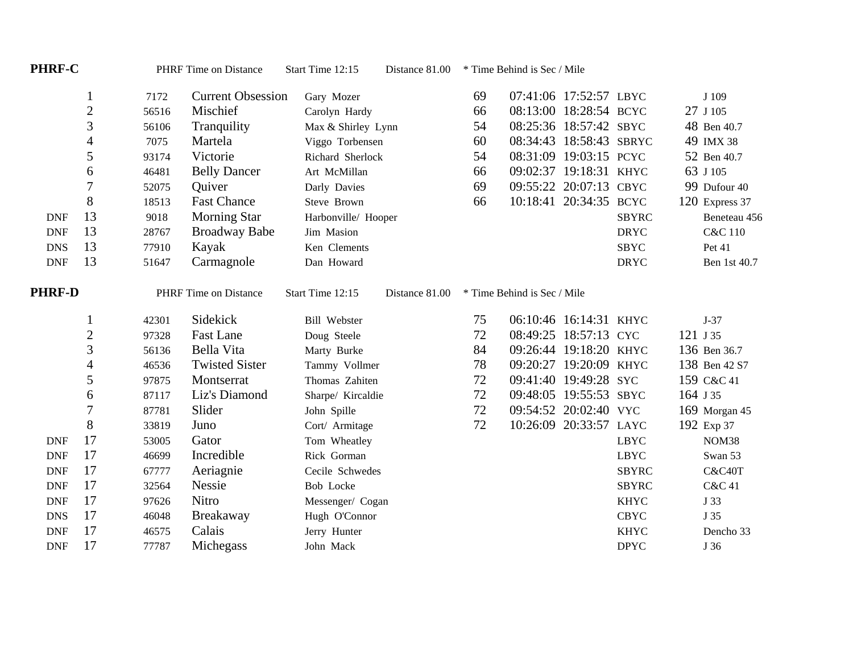| <b>PHRF-C</b> |                          |       | PHRF Time on Distance    | Start Time 12:15<br>Distance 81.00 |                | * Time Behind is Sec / Mile |                             |                         |              |  |                    |
|---------------|--------------------------|-------|--------------------------|------------------------------------|----------------|-----------------------------|-----------------------------|-------------------------|--------------|--|--------------------|
|               | $\mathbf{1}$             | 7172  | <b>Current Obsession</b> | Gary Mozer                         |                | 69                          |                             | 07:41:06 17:52:57 LBYC  |              |  | J 109              |
|               | $\overline{c}$           | 56516 | Mischief                 | Carolyn Hardy                      |                | 66                          |                             | 08:13:00 18:28:54 BCYC  |              |  | 27 J 105           |
|               | 3                        | 56106 | Tranquility              | Max & Shirley Lynn                 |                | 54                          |                             | 08:25:36 18:57:42 SBYC  |              |  | 48 Ben 40.7        |
|               | $\overline{\mathcal{A}}$ | 7075  | Martela                  | Viggo Torbensen                    |                | 60                          |                             | 08:34:43 18:58:43 SBRYC |              |  | 49 IMX 38          |
|               | 5                        | 93174 | Victorie                 | Richard Sherlock                   |                | 54                          |                             | 08:31:09 19:03:15 PCYC  |              |  | 52 Ben 40.7        |
|               | 6                        | 46481 | <b>Belly Dancer</b>      | Art McMillan                       |                | 66                          |                             | 09:02:37 19:18:31 KHYC  |              |  | 63 J 105           |
|               | $\overline{7}$           | 52075 | Quiver                   | Darly Davies                       |                | 69                          |                             | 09:55:22 20:07:13 CBYC  |              |  | 99 Dufour 40       |
|               | 8                        | 18513 | <b>Fast Chance</b>       | Steve Brown                        |                | 66                          |                             | 10:18:41 20:34:35 BCYC  |              |  | 120 Express 37     |
| <b>DNF</b>    | 13                       | 9018  | <b>Morning Star</b>      | Harbonville/ Hooper                |                |                             |                             |                         | <b>SBYRC</b> |  | Beneteau 456       |
| <b>DNF</b>    | 13                       | 28767 | <b>Broadway Babe</b>     | Jim Masion                         |                |                             |                             |                         | <b>DRYC</b>  |  | <b>C&amp;C 110</b> |
| <b>DNS</b>    | 13                       | 77910 | Kayak                    | Ken Clements                       |                |                             |                             |                         | <b>SBYC</b>  |  | Pet 41             |
| <b>DNF</b>    | 13                       | 51647 | Carmagnole               | Dan Howard                         |                |                             |                             |                         | <b>DRYC</b>  |  | Ben 1st 40.7       |
| <b>PHRF-D</b> |                          |       | PHRF Time on Distance    | Start Time 12:15                   | Distance 81.00 |                             | * Time Behind is Sec / Mile |                         |              |  |                    |
|               | $\mathbf{1}$             | 42301 | Sidekick                 | <b>Bill Webster</b>                |                | 75                          |                             | 06:10:46 16:14:31 KHYC  |              |  | $J-37$             |
|               | $\overline{c}$           | 97328 | <b>Fast Lane</b>         | Doug Steele                        |                | 72                          |                             | 08:49:25 18:57:13 CYC   |              |  | 121 J 35           |
|               | 3                        | 56136 | Bella Vita               | Marty Burke                        |                | 84                          |                             | 09:26:44 19:18:20 KHYC  |              |  | 136 Ben 36.7       |
|               | $\overline{4}$           | 46536 | <b>Twisted Sister</b>    | Tammy Vollmer                      |                | 78                          |                             | 09:20:27 19:20:09 KHYC  |              |  | 138 Ben 42 S7      |
|               | 5                        | 97875 | Montserrat               | Thomas Zahiten                     |                | 72                          |                             | 09:41:40 19:49:28 SYC   |              |  | 159 C&C 41         |
|               | 6                        | 87117 | Liz's Diamond            | Sharpe/ Kircaldie                  |                | 72                          |                             | 09:48:05 19:55:53 SBYC  |              |  | 164 J 35           |
|               | 7                        | 87781 | Slider                   | John Spille                        |                | 72                          |                             | 09:54:52 20:02:40 VYC   |              |  | 169 Morgan 45      |
|               | 8                        | 33819 | Juno                     | Cort/ Armitage                     |                | 72                          |                             | 10:26:09 20:33:57 LAYC  |              |  | 192 Exp 37         |
| <b>DNF</b>    | 17                       | 53005 | Gator                    | Tom Wheatley                       |                |                             |                             |                         | <b>LBYC</b>  |  | NOM38              |
| <b>DNF</b>    | 17                       | 46699 | Incredible               | Rick Gorman                        |                |                             |                             |                         | <b>LBYC</b>  |  | Swan 53            |
| <b>DNF</b>    | 17                       | 67777 | Aeriagnie                | Cecile Schwedes                    |                |                             |                             |                         | <b>SBYRC</b> |  | <b>C&amp;C40T</b>  |
| <b>DNF</b>    | 17                       | 32564 | Nessie                   | <b>Bob Locke</b>                   |                |                             |                             |                         | <b>SBYRC</b> |  | <b>C&amp;C 41</b>  |
| <b>DNF</b>    | 17                       | 97626 | Nitro                    | Messenger/ Cogan                   |                |                             |                             |                         | <b>KHYC</b>  |  | J 33               |
| <b>DNS</b>    | 17                       | 46048 | Breakaway                | Hugh O'Connor                      |                |                             |                             |                         | <b>CBYC</b>  |  | J 35               |
| <b>DNF</b>    | 17                       | 46575 | Calais                   | Jerry Hunter                       |                |                             |                             |                         | <b>KHYC</b>  |  | Dencho 33          |
| <b>DNF</b>    | 17                       | 77787 | Michegass                | John Mack                          |                |                             |                             |                         | <b>DPYC</b>  |  | J 36               |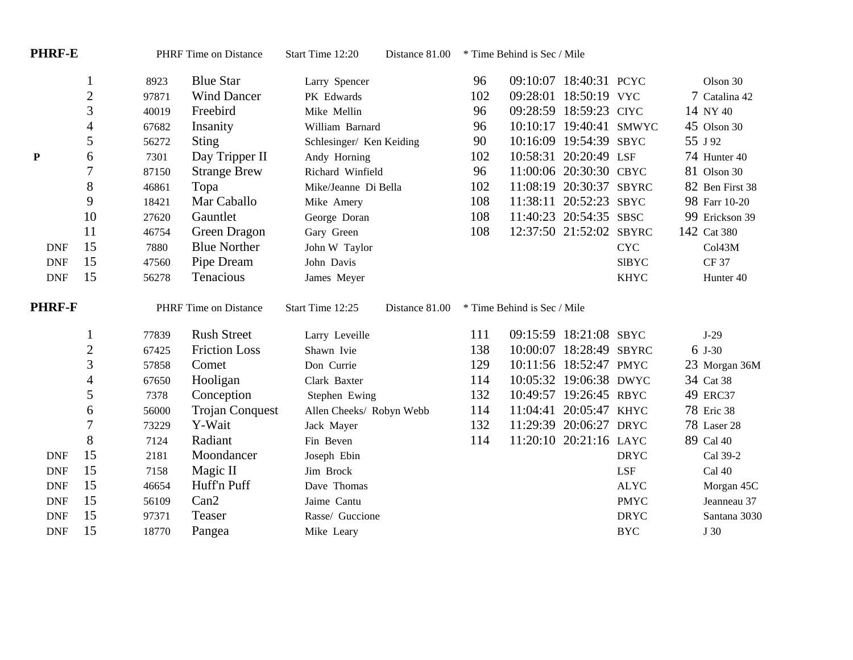| <b>PHRF-E</b> |                          | <b>PHRF</b> Time on Distance |                        | Start Time 12:20<br>Distance 81.00 | * Time Behind is Sec / Mile |     |                             |                         |              |  |                      |
|---------------|--------------------------|------------------------------|------------------------|------------------------------------|-----------------------------|-----|-----------------------------|-------------------------|--------------|--|----------------------|
|               | 1                        | 8923                         | <b>Blue Star</b>       | Larry Spencer                      |                             | 96  |                             | 09:10:07 18:40:31 PCYC  |              |  | Olson 30             |
|               | $\overline{c}$           | 97871                        | <b>Wind Dancer</b>     | PK Edwards                         |                             | 102 |                             | 09:28:01 18:50:19 VYC   |              |  | 7 Catalina 42        |
|               | 3                        | 40019                        | Freebird               | Mike Mellin                        |                             | 96  |                             | 09:28:59 18:59:23 CIYC  |              |  | 14 NY 40             |
|               | $\overline{4}$           | 67682                        | Insanity               | William Barnard                    |                             | 96  |                             | 10:10:17 19:40:41 SMWYC |              |  | 45 Olson 30          |
|               | 5                        | 56272                        | Sting                  | Schlesinger/ Ken Keiding           |                             | 90  |                             | 10:16:09 19:54:39 SBYC  |              |  | 55 J 92              |
| ${\bf P}$     | 6                        | 7301                         | Day Tripper II         | Andy Horning                       |                             | 102 |                             | 10:58:31 20:20:49 LSF   |              |  | 74 Hunter 40         |
|               | 7                        | 87150                        | <b>Strange Brew</b>    | Richard Winfield                   |                             | 96  |                             | 11:00:06 20:30:30 CBYC  |              |  | 81 Olson 30          |
|               | $8\,$                    | 46861                        | Topa                   | Mike/Jeanne Di Bella               |                             | 102 |                             | 11:08:19 20:30:37 SBYRC |              |  | 82 Ben First 38      |
|               | 9                        | 18421                        | Mar Caballo            | Mike Amery                         |                             | 108 |                             | 11:38:11 20:52:23 SBYC  |              |  | 98 Farr 10-20        |
|               | 10                       | 27620                        | Gauntlet               | George Doran                       |                             | 108 |                             | 11:40:23 20:54:35 SBSC  |              |  | 99 Erickson 39       |
|               | 11                       | 46754                        | Green Dragon           | Gary Green                         |                             | 108 |                             | 12:37:50 21:52:02 SBYRC |              |  | 142 Cat 380          |
| <b>DNF</b>    | 15                       | 7880                         | <b>Blue Norther</b>    | John W Taylor                      |                             |     |                             |                         | <b>CYC</b>   |  | Co143M               |
| <b>DNF</b>    | 15                       | 47560                        | Pipe Dream             | John Davis                         |                             |     |                             |                         | <b>SIBYC</b> |  | <b>CF37</b>          |
| <b>DNF</b>    | 15                       | 56278                        | Tenacious              | James Meyer                        |                             |     |                             |                         | <b>KHYC</b>  |  | Hunter <sub>40</sub> |
|               |                          |                              |                        |                                    |                             |     |                             |                         |              |  |                      |
| <b>PHRF-F</b> |                          |                              | PHRF Time on Distance  | Start Time 12:25                   | Distance 81.00              |     | * Time Behind is Sec / Mile |                         |              |  |                      |
|               | $\mathbf{1}$             | 77839                        | <b>Rush Street</b>     | Larry Leveille                     |                             | 111 |                             | 09:15:59 18:21:08 SBYC  |              |  | $J-29$               |
|               | $\mathfrak{2}$           | 67425                        | <b>Friction Loss</b>   | Shawn Ivie                         |                             | 138 |                             | 10:00:07 18:28:49 SBYRC |              |  | 6 J-30               |
|               | $\mathfrak{Z}$           | 57858                        | Comet                  | Don Currie                         |                             | 129 |                             | 10:11:56 18:52:47 PMYC  |              |  | 23 Morgan 36M        |
|               | $\overline{\mathcal{A}}$ | 67650                        | Hooligan               | Clark Baxter                       |                             | 114 |                             | 10:05:32 19:06:38 DWYC  |              |  | 34 Cat 38            |
|               | 5                        | 7378                         | Conception             | Stephen Ewing                      |                             | 132 |                             | 10:49:57 19:26:45 RBYC  |              |  | 49 ERC37             |
|               | 6                        | 56000                        | <b>Trojan Conquest</b> | Allen Cheeks/ Robyn Webb           |                             | 114 |                             | 11:04:41 20:05:47 KHYC  |              |  | 78 Eric 38           |
|               | 7                        | 73229                        | Y-Wait                 | Jack Mayer                         |                             | 132 |                             | 11:29:39 20:06:27 DRYC  |              |  | 78 Laser 28          |
|               | 8                        | 7124                         | Radiant                | Fin Beven                          |                             | 114 |                             | 11:20:10 20:21:16 LAYC  |              |  | 89 Cal 40            |
| <b>DNF</b>    | 15                       | 2181                         | Moondancer             | Joseph Ebin                        |                             |     |                             |                         | <b>DRYC</b>  |  | Cal 39-2             |
| <b>DNF</b>    | 15                       | 7158                         | Magic II               | Jim Brock                          |                             |     |                             |                         | <b>LSF</b>   |  | Cal 40               |
| <b>DNF</b>    | 15                       | 46654                        | Huff'n Puff            | Dave Thomas                        |                             |     |                             |                         | <b>ALYC</b>  |  | Morgan 45C           |
| <b>DNF</b>    | 15                       | 56109                        | Can2                   | Jaime Cantu                        |                             |     |                             |                         | <b>PMYC</b>  |  | Jeanneau 37          |
| <b>DNF</b>    | 15<br>15                 | 97371                        | Teaser                 | Rasse/ Guccione                    |                             |     |                             |                         | <b>DRYC</b>  |  | Santana 3030         |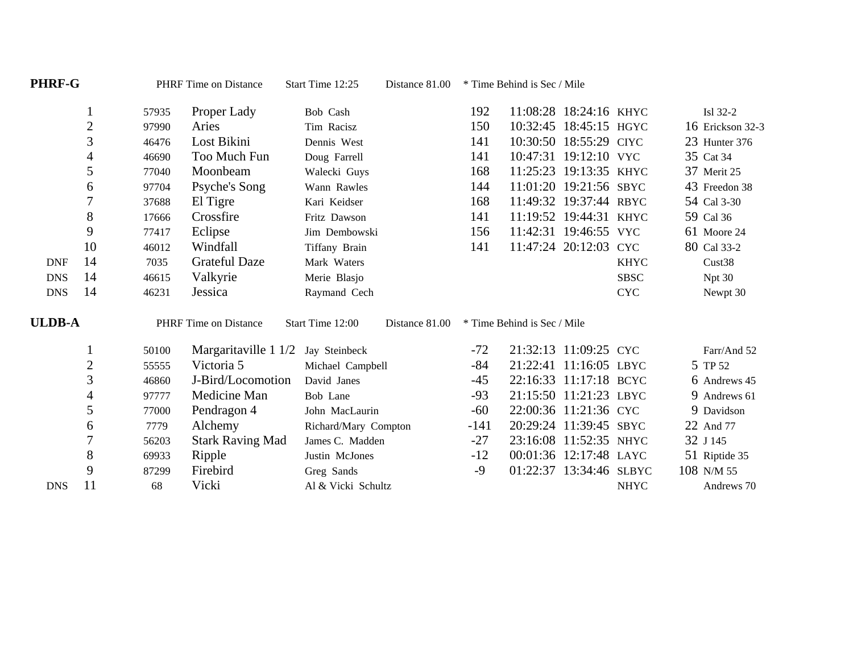| PHRF-G        |                          |       | <b>PHRF</b> Time on Distance | Start Time 12:25     | Distance 81.00 | * Time Behind is Sec / Mile |                             |                         |             |                  |
|---------------|--------------------------|-------|------------------------------|----------------------|----------------|-----------------------------|-----------------------------|-------------------------|-------------|------------------|
|               | $\perp$                  | 57935 | Proper Lady                  | Bob Cash             |                | 192                         |                             | 11:08:28 18:24:16 KHYC  |             | Isl 32-2         |
|               | $\overline{c}$           | 97990 | Aries                        | Tim Racisz           |                | 150                         |                             | 10:32:45 18:45:15 HGYC  |             | 16 Erickson 32-3 |
|               | 3                        | 46476 | Lost Bikini                  | Dennis West          |                | 141                         |                             | 10:30:50 18:55:29 CIYC  |             | 23 Hunter 376    |
|               | $\overline{\mathcal{A}}$ | 46690 | Too Much Fun                 | Doug Farrell         |                | 141                         |                             | 10:47:31 19:12:10 VYC   |             | 35 Cat 34        |
|               | 5                        | 77040 | Moonbeam                     | Walecki Guys         |                | 168                         |                             | 11:25:23 19:13:35 KHYC  |             | 37 Merit 25      |
|               | 6                        | 97704 | Psyche's Song                | Wann Rawles          |                | 144                         |                             | 11:01:20 19:21:56 SBYC  |             | 43 Freedon 38    |
|               | 7                        | 37688 | El Tigre                     | Kari Keidser         |                | 168                         |                             | 11:49:32 19:37:44 RBYC  |             | 54 Cal 3-30      |
|               | 8                        | 17666 | Crossfire                    | Fritz Dawson         |                | 141                         |                             | 11:19:52 19:44:31 KHYC  |             | 59 Cal 36        |
|               | 9                        | 77417 | Eclipse                      | Jim Dembowski        |                | 156                         |                             | 11:42:31 19:46:55 VYC   |             | 61 Moore 24      |
|               | 10                       | 46012 | Windfall                     | Tiffany Brain        |                | 141                         |                             | 11:47:24 20:12:03 CYC   |             | 80 Cal 33-2      |
| <b>DNF</b>    | 14                       | 7035  | <b>Grateful Daze</b>         | Mark Waters          |                |                             |                             |                         | <b>KHYC</b> | Cust38           |
| <b>DNS</b>    | 14                       | 46615 | Valkyrie                     | Merie Blasjo         |                |                             |                             |                         | <b>SBSC</b> | Npt 30           |
| <b>DNS</b>    | 14                       | 46231 | Jessica                      | Raymand Cech         |                |                             |                             |                         | <b>CYC</b>  | Newpt 30         |
| <b>ULDB-A</b> |                          |       | PHRF Time on Distance        | Start Time 12:00     | Distance 81.00 |                             | * Time Behind is Sec / Mile |                         |             |                  |
|               | $\mathbf{I}$             | 50100 | Margaritaville 1 1/2         | Jay Steinbeck        |                | $-72$                       |                             | 21:32:13 11:09:25 CYC   |             | Farr/And 52      |
|               | $\overline{c}$           | 55555 | Victoria 5                   | Michael Campbell     |                | $-84$                       |                             | 21:22:41 11:16:05 LBYC  |             | 5 TP 52          |
|               | 3                        | 46860 | J-Bird/Locomotion            | David Janes          |                | $-45$                       |                             | 22:16:33 11:17:18 BCYC  |             | 6 Andrews 45     |
|               | $\overline{\mathcal{A}}$ | 97777 | Medicine Man                 | Bob Lane             |                | $-93$                       |                             | 21:15:50 11:21:23 LBYC  |             | 9 Andrews 61     |
|               | 5                        | 77000 | Pendragon 4                  | John MacLaurin       |                | $-60$                       |                             | 22:00:36 11:21:36 CYC   |             | 9 Davidson       |
|               | 6                        | 7779  | Alchemy                      | Richard/Mary Compton |                | $-141$                      |                             | 20:29:24 11:39:45 SBYC  |             | 22 And 77        |
|               | 7                        | 56203 | <b>Stark Raving Mad</b>      | James C. Madden      |                | $-27$                       |                             | 23:16:08 11:52:35 NHYC  |             | 32 J 145         |
|               | $8\,$                    | 69933 | Ripple                       | Justin McJones       |                | $-12$                       |                             | 00:01:36 12:17:48 LAYC  |             | 51 Riptide 35    |
|               | 9                        | 87299 | Firebird                     | Greg Sands           |                | $-9$                        |                             | 01:22:37 13:34:46 SLBYC |             | 108 N/M 55       |
| <b>DNS</b>    | 11                       | 68    | Vicki                        | Al & Vicki Schultz   |                |                             |                             |                         | <b>NHYC</b> | Andrews 70       |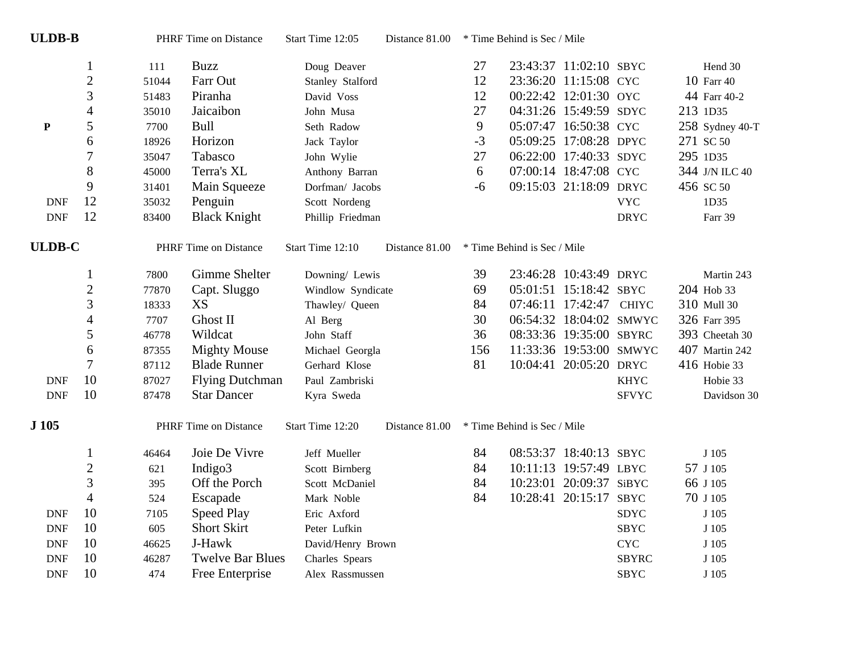| <b>ULDB-B</b> |                          |       | PHRF Time on Distance   | Start Time 12:05  | Distance 81.00 |      | * Time Behind is Sec / Mile |                         |              |                 |
|---------------|--------------------------|-------|-------------------------|-------------------|----------------|------|-----------------------------|-------------------------|--------------|-----------------|
|               | $\mathbf{1}$             | 111   | <b>Buzz</b>             | Doug Deaver       |                | 27   |                             | 23:43:37 11:02:10 SBYC  |              | Hend 30         |
|               | $\overline{c}$           | 51044 | Farr Out                | Stanley Stalford  |                | 12   |                             | 23:36:20 11:15:08 CYC   |              | 10 Farr 40      |
|               | 3                        | 51483 | Piranha                 | David Voss        |                | 12   |                             | 00:22:42 12:01:30 OYC   |              | 44 Farr 40-2    |
|               | $\overline{\mathcal{L}}$ | 35010 | Jaicaibon               | John Musa         |                | 27   |                             | 04:31:26 15:49:59 SDYC  |              | 213 1D35        |
| ${\bf P}$     | 5                        | 7700  | <b>Bull</b>             | Seth Radow        |                | 9    |                             | 05:07:47 16:50:38 CYC   |              | 258 Sydney 40-T |
|               | 6                        | 18926 | Horizon                 | Jack Taylor       |                | $-3$ |                             | 05:09:25 17:08:28 DPYC  |              | 271 SC 50       |
|               | $\overline{7}$           | 35047 | Tabasco                 | John Wylie        |                | 27   |                             | 06:22:00 17:40:33 SDYC  |              | 295 1D35        |
|               | $8\,$                    | 45000 | Terra's XL              | Anthony Barran    |                | 6    |                             | 07:00:14 18:47:08 CYC   |              | 344 J/N ILC 40  |
|               | 9                        | 31401 | Main Squeeze            | Dorfman/ Jacobs   |                | $-6$ |                             | 09:15:03 21:18:09 DRYC  |              | 456 SC 50       |
| <b>DNF</b>    | 12                       | 35032 | Penguin                 | Scott Nordeng     |                |      |                             |                         | <b>VYC</b>   | 1D35            |
| <b>DNF</b>    | 12                       | 83400 | <b>Black Knight</b>     | Phillip Friedman  |                |      |                             |                         | <b>DRYC</b>  | Farr 39         |
| <b>ULDB-C</b> |                          |       | PHRF Time on Distance   | Start Time 12:10  | Distance 81.00 |      | * Time Behind is Sec / Mile |                         |              |                 |
|               | $\mathbf{1}$             | 7800  | Gimme Shelter           | Downing/ Lewis    |                | 39   |                             | 23:46:28 10:43:49 DRYC  |              | Martin 243      |
|               | $\overline{2}$           | 77870 | Capt. Sluggo            | Windlow Syndicate |                | 69   |                             | 05:01:51 15:18:42 SBYC  |              | 204 Hob 33      |
|               | 3                        | 18333 | XS                      | Thawley/ Queen    |                | 84   |                             | 07:46:11 17:42:47       | <b>CHIYC</b> | 310 Mull 30     |
|               | $\overline{4}$           | 7707  | Ghost II                | Al Berg           |                | 30   |                             | 06:54:32 18:04:02 SMWYC |              | 326 Farr 395    |
|               | 5                        | 46778 | Wildcat                 | John Staff        |                | 36   |                             | 08:33:36 19:35:00 SBYRC |              | 393 Cheetah 30  |
|               | 6                        | 87355 | <b>Mighty Mouse</b>     | Michael Georgla   |                | 156  |                             | 11:33:36 19:53:00 SMWYC |              | 407 Martin 242  |
|               | $\overline{7}$           | 87112 | <b>Blade Runner</b>     | Gerhard Klose     |                | 81   |                             | 10:04:41 20:05:20 DRYC  |              | 416 Hobie 33    |
| <b>DNF</b>    | 10                       | 87027 | <b>Flying Dutchman</b>  | Paul Zambriski    |                |      |                             |                         | <b>KHYC</b>  | Hobie 33        |
| <b>DNF</b>    | 10                       | 87478 | <b>Star Dancer</b>      | Kyra Sweda        |                |      |                             |                         | <b>SFVYC</b> | Davidson 30     |
| J 105         |                          |       | PHRF Time on Distance   | Start Time 12:20  | Distance 81.00 |      | * Time Behind is Sec / Mile |                         |              |                 |
|               | $\mathbf{1}$             | 46464 | Joie De Vivre           | Jeff Mueller      |                | 84   |                             | 08:53:37 18:40:13 SBYC  |              | J 105           |
|               | $\overline{2}$           | 621   | Indigo3                 | Scott Birnberg    |                | 84   |                             | 10:11:13 19:57:49 LBYC  |              | 57 J 105        |
|               | 3                        | 395   | Off the Porch           | Scott McDaniel    |                | 84   |                             | 10:23:01 20:09:37 SiBYC |              | 66 J 105        |
|               | $\overline{\mathcal{A}}$ | 524   | Escapade                | Mark Noble        |                | 84   |                             | 10:28:41 20:15:17 SBYC  |              | 70 J 105        |
| <b>DNF</b>    | 10                       | 7105  | <b>Speed Play</b>       | Eric Axford       |                |      |                             |                         | <b>SDYC</b>  | J 105           |
| <b>DNF</b>    | 10                       | 605   | <b>Short Skirt</b>      | Peter Lufkin      |                |      |                             |                         | <b>SBYC</b>  | J 105           |
| <b>DNF</b>    | 10                       | 46625 | J-Hawk                  | David/Henry Brown |                |      |                             |                         | <b>CYC</b>   | J 105           |
| <b>DNF</b>    | 10                       | 46287 | <b>Twelve Bar Blues</b> | Charles Spears    |                |      |                             |                         | <b>SBYRC</b> | J 105           |
| <b>DNF</b>    | 10                       | 474   | Free Enterprise         | Alex Rassmussen   |                |      |                             |                         | <b>SBYC</b>  | J 105           |